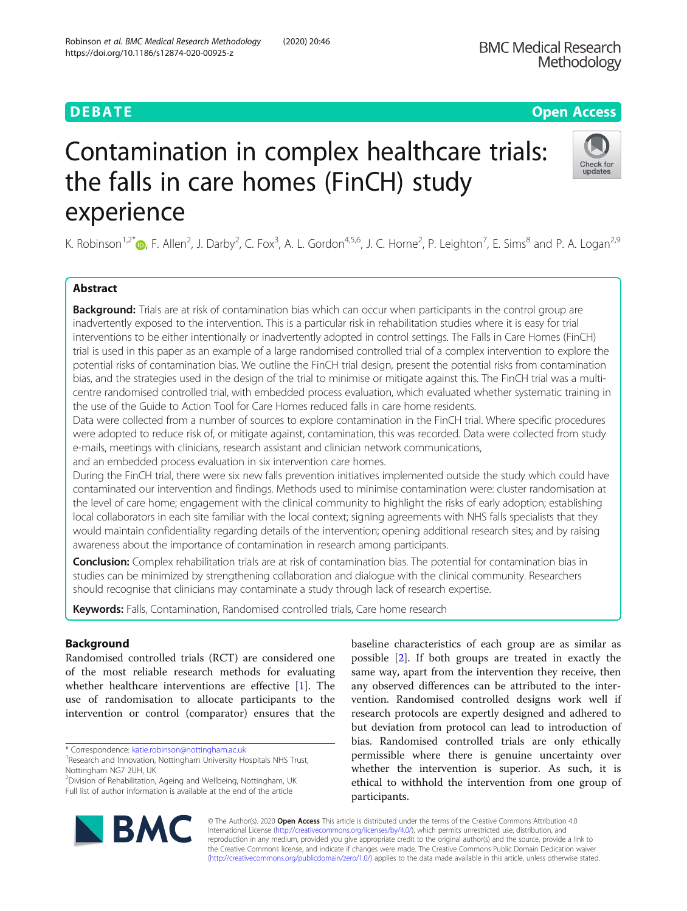# https://doi.org/10.1186/s12874-020-00925-z

Robinson et al. BMC Medical Research Methodology (2020) 20:46

# **DEBATE CONSERVATION DEBATE CONSERVATION**

**BMC Medical Research** 

# Check for undates

# Contamination in complex healthcare trials: the falls in care homes (FinCH) study experience

K. Robinson $^{1,2^*}$  , F. Allen<sup>2</sup>, J. Darby<sup>2</sup>, C. Fox<sup>3</sup>, A. L. Gordon $^{4,5,6}$ , J. C. Horne<sup>2</sup>, P. Leighton<sup>7</sup>, E. Sims $^8$  and P. A. Logan $^{2,9}$ 

# Abstract

**Background:** Trials are at risk of contamination bias which can occur when participants in the control group are inadvertently exposed to the intervention. This is a particular risk in rehabilitation studies where it is easy for trial interventions to be either intentionally or inadvertently adopted in control settings. The Falls in Care Homes (FinCH) trial is used in this paper as an example of a large randomised controlled trial of a complex intervention to explore the potential risks of contamination bias. We outline the FinCH trial design, present the potential risks from contamination bias, and the strategies used in the design of the trial to minimise or mitigate against this. The FinCH trial was a multicentre randomised controlled trial, with embedded process evaluation, which evaluated whether systematic training in the use of the Guide to Action Tool for Care Homes reduced falls in care home residents.

Data were collected from a number of sources to explore contamination in the FinCH trial. Where specific procedures were adopted to reduce risk of, or mitigate against, contamination, this was recorded. Data were collected from study e-mails, meetings with clinicians, research assistant and clinician network communications,

and an embedded process evaluation in six intervention care homes.

During the FinCH trial, there were six new falls prevention initiatives implemented outside the study which could have contaminated our intervention and findings. Methods used to minimise contamination were: cluster randomisation at the level of care home; engagement with the clinical community to highlight the risks of early adoption; establishing local collaborators in each site familiar with the local context; signing agreements with NHS falls specialists that they would maintain confidentiality regarding details of the intervention; opening additional research sites; and by raising awareness about the importance of contamination in research among participants.

**Conclusion:** Complex rehabilitation trials are at risk of contamination bias. The potential for contamination bias in studies can be minimized by strengthening collaboration and dialogue with the clinical community. Researchers should recognise that clinicians may contaminate a study through lack of research expertise.

Keywords: Falls, Contamination, Randomised controlled trials, Care home research

# **Background**

Randomised controlled trials (RCT) are considered one of the most reliable research methods for evaluating whether healthcare interventions are effective [\[1](#page-5-0)]. The use of randomisation to allocate participants to the intervention or control (comparator) ensures that the

\* Correspondence: [katie.robinson@nottingham.ac.uk](mailto:katie.robinson@nottingham.ac.uk) <sup>1</sup>

<sup>2</sup>Division of Rehabilitation, Ageing and Wellbeing, Nottingham, UK Full list of author information is available at the end of the article

baseline characteristics of each group are as similar as possible [\[2](#page-5-0)]. If both groups are treated in exactly the same way, apart from the intervention they receive, then any observed differences can be attributed to the intervention. Randomised controlled designs work well if research protocols are expertly designed and adhered to but deviation from protocol can lead to introduction of bias. Randomised controlled trials are only ethically permissible where there is genuine uncertainty over whether the intervention is superior. As such, it is ethical to withhold the intervention from one group of participants.



© The Author(s). 2020 **Open Access** This article is distributed under the terms of the Creative Commons Attribution 4.0 International License [\(http://creativecommons.org/licenses/by/4.0/](http://creativecommons.org/licenses/by/4.0/)), which permits unrestricted use, distribution, and reproduction in any medium, provided you give appropriate credit to the original author(s) and the source, provide a link to the Creative Commons license, and indicate if changes were made. The Creative Commons Public Domain Dedication waiver [\(http://creativecommons.org/publicdomain/zero/1.0/](http://creativecommons.org/publicdomain/zero/1.0/)) applies to the data made available in this article, unless otherwise stated.

<sup>&</sup>lt;sup>1</sup> Research and Innovation, Nottingham University Hospitals NHS Trust, Nottingham NG7 2UH, UK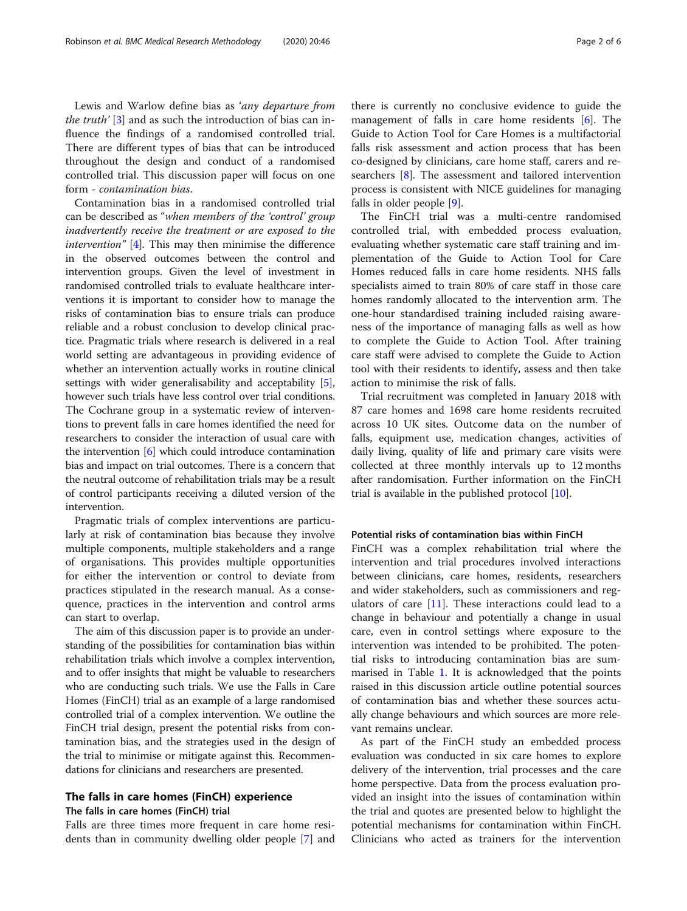Lewis and Warlow define bias as 'any departure from the truth' [[3\]](#page-5-0) and as such the introduction of bias can influence the findings of a randomised controlled trial. There are different types of bias that can be introduced throughout the design and conduct of a randomised controlled trial. This discussion paper will focus on one form - contamination bias.

Contamination bias in a randomised controlled trial can be described as "when members of the 'control' group inadvertently receive the treatment or are exposed to the *intervention*" [\[4](#page-5-0)]. This may then minimise the difference in the observed outcomes between the control and intervention groups. Given the level of investment in randomised controlled trials to evaluate healthcare interventions it is important to consider how to manage the risks of contamination bias to ensure trials can produce reliable and a robust conclusion to develop clinical practice. Pragmatic trials where research is delivered in a real world setting are advantageous in providing evidence of whether an intervention actually works in routine clinical settings with wider generalisability and acceptability [[5](#page-5-0)], however such trials have less control over trial conditions. The Cochrane group in a systematic review of interventions to prevent falls in care homes identified the need for researchers to consider the interaction of usual care with the intervention [\[6](#page-5-0)] which could introduce contamination bias and impact on trial outcomes. There is a concern that the neutral outcome of rehabilitation trials may be a result of control participants receiving a diluted version of the intervention.

Pragmatic trials of complex interventions are particularly at risk of contamination bias because they involve multiple components, multiple stakeholders and a range of organisations. This provides multiple opportunities for either the intervention or control to deviate from practices stipulated in the research manual. As a consequence, practices in the intervention and control arms can start to overlap.

The aim of this discussion paper is to provide an understanding of the possibilities for contamination bias within rehabilitation trials which involve a complex intervention, and to offer insights that might be valuable to researchers who are conducting such trials. We use the Falls in Care Homes (FinCH) trial as an example of a large randomised controlled trial of a complex intervention. We outline the FinCH trial design, present the potential risks from contamination bias, and the strategies used in the design of the trial to minimise or mitigate against this. Recommendations for clinicians and researchers are presented.

# The falls in care homes (FinCH) experience The falls in care homes (FinCH) trial

Falls are three times more frequent in care home residents than in community dwelling older people [[7\]](#page-5-0) and

there is currently no conclusive evidence to guide the management of falls in care home residents [[6\]](#page-5-0). The Guide to Action Tool for Care Homes is a multifactorial falls risk assessment and action process that has been co-designed by clinicians, care home staff, carers and researchers [[8\]](#page-5-0). The assessment and tailored intervention process is consistent with NICE guidelines for managing falls in older people [[9\]](#page-5-0).

The FinCH trial was a multi-centre randomised controlled trial, with embedded process evaluation, evaluating whether systematic care staff training and implementation of the Guide to Action Tool for Care Homes reduced falls in care home residents. NHS falls specialists aimed to train 80% of care staff in those care homes randomly allocated to the intervention arm. The one-hour standardised training included raising awareness of the importance of managing falls as well as how to complete the Guide to Action Tool. After training care staff were advised to complete the Guide to Action tool with their residents to identify, assess and then take action to minimise the risk of falls.

Trial recruitment was completed in January 2018 with 87 care homes and 1698 care home residents recruited across 10 UK sites. Outcome data on the number of falls, equipment use, medication changes, activities of daily living, quality of life and primary care visits were collected at three monthly intervals up to 12 months after randomisation. Further information on the FinCH trial is available in the published protocol  $[10]$  $[10]$ .

## Potential risks of contamination bias within FinCH

FinCH was a complex rehabilitation trial where the intervention and trial procedures involved interactions between clinicians, care homes, residents, researchers and wider stakeholders, such as commissioners and regulators of care  $[11]$  $[11]$  $[11]$ . These interactions could lead to a change in behaviour and potentially a change in usual care, even in control settings where exposure to the intervention was intended to be prohibited. The potential risks to introducing contamination bias are summarised in Table [1.](#page-2-0) It is acknowledged that the points raised in this discussion article outline potential sources of contamination bias and whether these sources actually change behaviours and which sources are more relevant remains unclear.

As part of the FinCH study an embedded process evaluation was conducted in six care homes to explore delivery of the intervention, trial processes and the care home perspective. Data from the process evaluation provided an insight into the issues of contamination within the trial and quotes are presented below to highlight the potential mechanisms for contamination within FinCH. Clinicians who acted as trainers for the intervention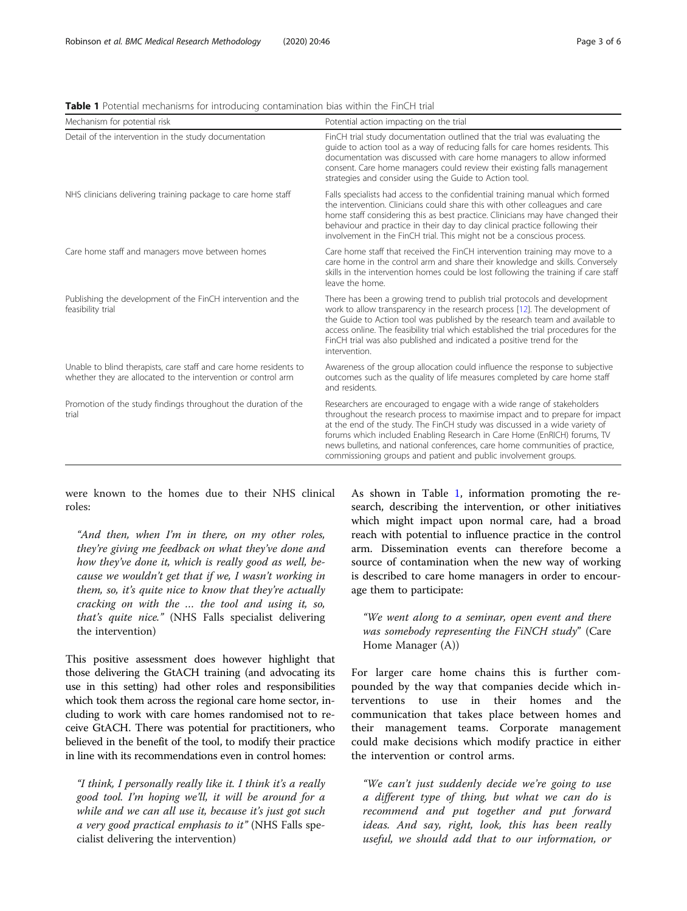<span id="page-2-0"></span>Table 1 Potential mechanisms for introducing contamination bias within the FinCH trial

| Mechanism for potential risk                                                                                                       | Potential action impacting on the trial                                                                                                                                                                                                                                                                                                                                                                                                                              |
|------------------------------------------------------------------------------------------------------------------------------------|----------------------------------------------------------------------------------------------------------------------------------------------------------------------------------------------------------------------------------------------------------------------------------------------------------------------------------------------------------------------------------------------------------------------------------------------------------------------|
| Detail of the intervention in the study documentation                                                                              | FinCH trial study documentation outlined that the trial was evaluating the<br>guide to action tool as a way of reducing falls for care homes residents. This<br>documentation was discussed with care home managers to allow informed<br>consent. Care home managers could review their existing falls management<br>strategies and consider using the Guide to Action tool.                                                                                         |
| NHS clinicians delivering training package to care home staff                                                                      | Falls specialists had access to the confidential training manual which formed<br>the intervention. Clinicians could share this with other colleagues and care<br>home staff considering this as best practice. Clinicians may have changed their<br>behaviour and practice in their day to day clinical practice following their<br>involvement in the FinCH trial. This might not be a conscious process.                                                           |
| Care home staff and managers move between homes                                                                                    | Care home staff that received the FinCH intervention training may move to a<br>care home in the control arm and share their knowledge and skills. Conversely<br>skills in the intervention homes could be lost following the training if care staff<br>leave the home.                                                                                                                                                                                               |
| Publishing the development of the FinCH intervention and the<br>feasibility trial                                                  | There has been a growing trend to publish trial protocols and development<br>work to allow transparency in the research process [12]. The development of<br>the Guide to Action tool was published by the research team and available to<br>access online. The feasibility trial which established the trial procedures for the<br>FinCH trial was also published and indicated a positive trend for the<br>intervention.                                            |
| Unable to blind therapists, care staff and care home residents to<br>whether they are allocated to the intervention or control arm | Awareness of the group allocation could influence the response to subjective<br>outcomes such as the quality of life measures completed by care home staff<br>and residents.                                                                                                                                                                                                                                                                                         |
| Promotion of the study findings throughout the duration of the<br>trial                                                            | Researchers are encouraged to engage with a wide range of stakeholders<br>throughout the research process to maximise impact and to prepare for impact<br>at the end of the study. The FinCH study was discussed in a wide variety of<br>forums which included Enabling Research in Care Home (EnRICH) forums, TV<br>news bulletins, and national conferences, care home communities of practice,<br>commissioning groups and patient and public involvement groups. |

were known to the homes due to their NHS clinical roles:

"And then, when I'm in there, on my other roles, they're giving me feedback on what they've done and how they've done it, which is really good as well, because we wouldn't get that if we, I wasn't working in them, so, it's quite nice to know that they're actually cracking on with the … the tool and using it, so, that's quite nice." (NHS Falls specialist delivering the intervention)

This positive assessment does however highlight that those delivering the GtACH training (and advocating its use in this setting) had other roles and responsibilities which took them across the regional care home sector, including to work with care homes randomised not to receive GtACH. There was potential for practitioners, who believed in the benefit of the tool, to modify their practice in line with its recommendations even in control homes:

"I think, I personally really like it. I think it's a really good tool. I'm hoping we'll, it will be around for a while and we can all use it, because it's just got such a very good practical emphasis to it" (NHS Falls specialist delivering the intervention)

As shown in Table 1, information promoting the research, describing the intervention, or other initiatives which might impact upon normal care, had a broad reach with potential to influence practice in the control arm. Dissemination events can therefore become a source of contamination when the new way of working is described to care home managers in order to encourage them to participate:

"We went along to a seminar, open event and there was somebody representing the FiNCH study" (Care Home Manager (A))

For larger care home chains this is further compounded by the way that companies decide which interventions to use in their homes and the communication that takes place between homes and their management teams. Corporate management could make decisions which modify practice in either the intervention or control arms.

"We can't just suddenly decide we're going to use a different type of thing, but what we can do is recommend and put together and put forward ideas. And say, right, look, this has been really useful, we should add that to our information, or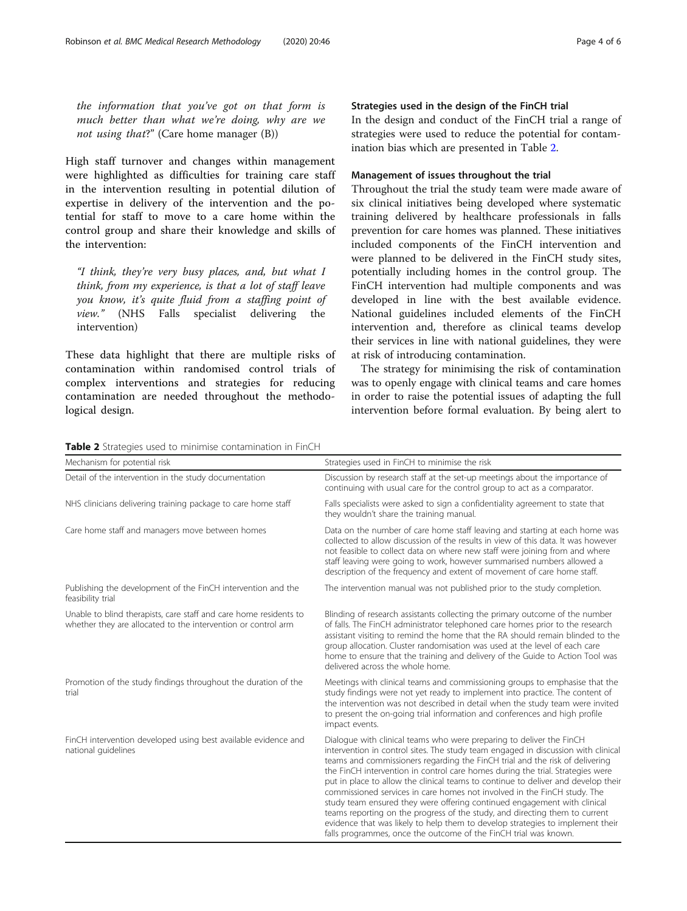the information that you've got on that form is much better than what we're doing, why are we not using that?" (Care home manager (B))

High staff turnover and changes within management were highlighted as difficulties for training care staff in the intervention resulting in potential dilution of expertise in delivery of the intervention and the potential for staff to move to a care home within the control group and share their knowledge and skills of the intervention:

"I think, they're very busy places, and, but what I think, from my experience, is that a lot of staff leave you know, it's quite fluid from a staffing point of view." (NHS Falls specialist delivering the intervention)

These data highlight that there are multiple risks of contamination within randomised control trials of complex interventions and strategies for reducing contamination are needed throughout the methodological design.

# Strategies used in the design of the FinCH trial

In the design and conduct of the FinCH trial a range of strategies were used to reduce the potential for contamination bias which are presented in Table 2.

### Management of issues throughout the trial

Throughout the trial the study team were made aware of six clinical initiatives being developed where systematic training delivered by healthcare professionals in falls prevention for care homes was planned. These initiatives included components of the FinCH intervention and were planned to be delivered in the FinCH study sites, potentially including homes in the control group. The FinCH intervention had multiple components and was developed in line with the best available evidence. National guidelines included elements of the FinCH intervention and, therefore as clinical teams develop their services in line with national guidelines, they were at risk of introducing contamination.

The strategy for minimising the risk of contamination was to openly engage with clinical teams and care homes in order to raise the potential issues of adapting the full intervention before formal evaluation. By being alert to

Table 2 Strategies used to minimise contamination in FinCH

| Mechanism for potential risk                                                                                                       | Strategies used in FinCH to minimise the risk                                                                                                                                                                                                                                                                                                                                                                                                                                                                                                                                                                                                                                                                                                                                                                 |
|------------------------------------------------------------------------------------------------------------------------------------|---------------------------------------------------------------------------------------------------------------------------------------------------------------------------------------------------------------------------------------------------------------------------------------------------------------------------------------------------------------------------------------------------------------------------------------------------------------------------------------------------------------------------------------------------------------------------------------------------------------------------------------------------------------------------------------------------------------------------------------------------------------------------------------------------------------|
| Detail of the intervention in the study documentation                                                                              | Discussion by research staff at the set-up meetings about the importance of<br>continuing with usual care for the control group to act as a comparator.                                                                                                                                                                                                                                                                                                                                                                                                                                                                                                                                                                                                                                                       |
| NHS clinicians delivering training package to care home staff                                                                      | Falls specialists were asked to sign a confidentiality agreement to state that<br>they wouldn't share the training manual.                                                                                                                                                                                                                                                                                                                                                                                                                                                                                                                                                                                                                                                                                    |
| Care home staff and managers move between homes                                                                                    | Data on the number of care home staff leaving and starting at each home was<br>collected to allow discussion of the results in view of this data. It was however<br>not feasible to collect data on where new staff were joining from and where<br>staff leaving were going to work, however summarised numbers allowed a<br>description of the frequency and extent of movement of care home staff.                                                                                                                                                                                                                                                                                                                                                                                                          |
| Publishing the development of the FinCH intervention and the<br>feasibility trial                                                  | The intervention manual was not published prior to the study completion.                                                                                                                                                                                                                                                                                                                                                                                                                                                                                                                                                                                                                                                                                                                                      |
| Unable to blind therapists, care staff and care home residents to<br>whether they are allocated to the intervention or control arm | Blinding of research assistants collecting the primary outcome of the number<br>of falls. The FinCH administrator telephoned care homes prior to the research<br>assistant visiting to remind the home that the RA should remain blinded to the<br>group allocation. Cluster randomisation was used at the level of each care<br>home to ensure that the training and delivery of the Guide to Action Tool was<br>delivered across the whole home.                                                                                                                                                                                                                                                                                                                                                            |
| Promotion of the study findings throughout the duration of the<br>trial                                                            | Meetings with clinical teams and commissioning groups to emphasise that the<br>study findings were not yet ready to implement into practice. The content of<br>the intervention was not described in detail when the study team were invited<br>to present the on-going trial information and conferences and high profile<br>impact events.                                                                                                                                                                                                                                                                                                                                                                                                                                                                  |
| FinCH intervention developed using best available evidence and<br>national quidelines                                              | Dialogue with clinical teams who were preparing to deliver the FinCH<br>intervention in control sites. The study team engaged in discussion with clinical<br>teams and commissioners regarding the FinCH trial and the risk of delivering<br>the FinCH intervention in control care homes during the trial. Strategies were<br>put in place to allow the clinical teams to continue to deliver and develop their<br>commissioned services in care homes not involved in the FinCH study. The<br>study team ensured they were offering continued engagement with clinical<br>teams reporting on the progress of the study, and directing them to current<br>evidence that was likely to help them to develop strategies to implement their<br>falls programmes, once the outcome of the FinCH trial was known. |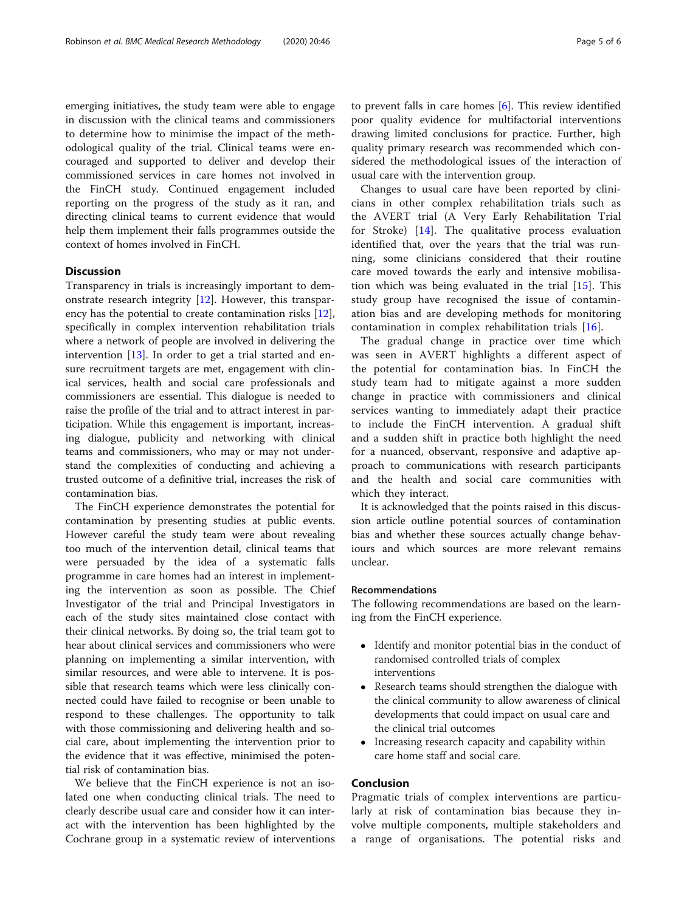emerging initiatives, the study team were able to engage in discussion with the clinical teams and commissioners to determine how to minimise the impact of the methodological quality of the trial. Clinical teams were encouraged and supported to deliver and develop their commissioned services in care homes not involved in the FinCH study. Continued engagement included reporting on the progress of the study as it ran, and directing clinical teams to current evidence that would help them implement their falls programmes outside the context of homes involved in FinCH.

# **Discussion**

Transparency in trials is increasingly important to demonstrate research integrity [[12\]](#page-5-0). However, this transparency has the potential to create contamination risks [\[12](#page-5-0)], specifically in complex intervention rehabilitation trials where a network of people are involved in delivering the intervention  $[13]$  $[13]$ . In order to get a trial started and ensure recruitment targets are met, engagement with clinical services, health and social care professionals and commissioners are essential. This dialogue is needed to raise the profile of the trial and to attract interest in participation. While this engagement is important, increasing dialogue, publicity and networking with clinical teams and commissioners, who may or may not understand the complexities of conducting and achieving a trusted outcome of a definitive trial, increases the risk of contamination bias.

The FinCH experience demonstrates the potential for contamination by presenting studies at public events. However careful the study team were about revealing too much of the intervention detail, clinical teams that were persuaded by the idea of a systematic falls programme in care homes had an interest in implementing the intervention as soon as possible. The Chief Investigator of the trial and Principal Investigators in each of the study sites maintained close contact with their clinical networks. By doing so, the trial team got to hear about clinical services and commissioners who were planning on implementing a similar intervention, with similar resources, and were able to intervene. It is possible that research teams which were less clinically connected could have failed to recognise or been unable to respond to these challenges. The opportunity to talk with those commissioning and delivering health and social care, about implementing the intervention prior to the evidence that it was effective, minimised the potential risk of contamination bias.

We believe that the FinCH experience is not an isolated one when conducting clinical trials. The need to clearly describe usual care and consider how it can interact with the intervention has been highlighted by the Cochrane group in a systematic review of interventions

to prevent falls in care homes [\[6](#page-5-0)]. This review identified poor quality evidence for multifactorial interventions drawing limited conclusions for practice. Further, high quality primary research was recommended which considered the methodological issues of the interaction of usual care with the intervention group.

Changes to usual care have been reported by clinicians in other complex rehabilitation trials such as the AVERT trial (A Very Early Rehabilitation Trial for Stroke) [\[14](#page-5-0)]. The qualitative process evaluation identified that, over the years that the trial was running, some clinicians considered that their routine care moved towards the early and intensive mobilisation which was being evaluated in the trial [\[15](#page-5-0)]. This study group have recognised the issue of contamination bias and are developing methods for monitoring contamination in complex rehabilitation trials [[16\]](#page-5-0).

The gradual change in practice over time which was seen in AVERT highlights a different aspect of the potential for contamination bias. In FinCH the study team had to mitigate against a more sudden change in practice with commissioners and clinical services wanting to immediately adapt their practice to include the FinCH intervention. A gradual shift and a sudden shift in practice both highlight the need for a nuanced, observant, responsive and adaptive approach to communications with research participants and the health and social care communities with which they interact.

It is acknowledged that the points raised in this discussion article outline potential sources of contamination bias and whether these sources actually change behaviours and which sources are more relevant remains unclear.

# Recommendations

The following recommendations are based on the learning from the FinCH experience.

- Identify and monitor potential bias in the conduct of randomised controlled trials of complex interventions
- Research teams should strengthen the dialogue with the clinical community to allow awareness of clinical developments that could impact on usual care and the clinical trial outcomes
- Increasing research capacity and capability within care home staff and social care.

# Conclusion

Pragmatic trials of complex interventions are particularly at risk of contamination bias because they involve multiple components, multiple stakeholders and a range of organisations. The potential risks and